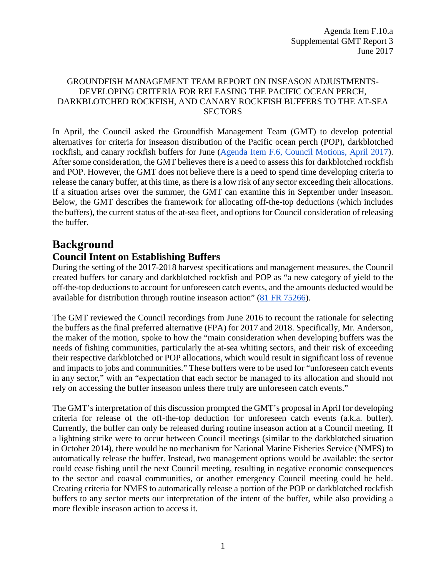#### GROUNDFISH MANAGEMENT TEAM REPORT ON INSEASON ADJUSTMENTS-DEVELOPING CRITERIA FOR RELEASING THE PACIFIC OCEAN PERCH, DARKBLOTCHED ROCKFISH, AND CANARY ROCKFISH BUFFERS TO THE AT-SEA **SECTORS**

In April, the Council asked the Groundfish Management Team (GMT) to develop potential alternatives for criteria for inseason distribution of the Pacific ocean perch (POP), darkblotched rockfish, and canary rockfish buffers for June [\(Agenda Item F.6, Council Motions, April 2017\)](http://www.pcouncil.org/wp-content/uploads/2017/04/F6_CouncilAction_Apr2017.pdf). After some consideration, the GMT believes there is a need to assess this for darkblotched rockfish and POP. However, the GMT does not believe there is a need to spend time developing criteria to release the canary buffer, at this time, as there is a low risk of any sector exceeding their allocations. If a situation arises over the summer, the GMT can examine this in September under inseason. Below, the GMT describes the framework for allocating off-the-top deductions (which includes the buffers), the current status of the at-sea fleet, and options for Council consideration of releasing the buffer.

## **Background**

## **Council Intent on Establishing Buffers**

During the setting of the 2017-2018 harvest specifications and management measures, the Council created buffers for canary and darkblotched rockfish and POP as "a new category of yield to the off-the-top deductions to account for unforeseen catch events, and the amounts deducted would be available for distribution through routine inseason action" [\(81 FR 75266\)](http://www.westcoast.fisheries.noaa.gov/publications/frn/2016/81fr75266.pdf).

The GMT reviewed the Council recordings from June 2016 to recount the rationale for selecting the buffers as the final preferred alternative (FPA) for 2017 and 2018. Specifically, Mr. Anderson, the maker of the motion, spoke to how the "main consideration when developing buffers was the needs of fishing communities, particularly the at-sea whiting sectors, and their risk of exceeding their respective darkblotched or POP allocations, which would result in significant loss of revenue and impacts to jobs and communities." These buffers were to be used for "unforeseen catch events in any sector," with an "expectation that each sector be managed to its allocation and should not rely on accessing the buffer inseason unless there truly are unforeseen catch events."

The GMT's interpretation of this discussion prompted the GMT's proposal in April for developing criteria for release of the off-the-top deduction for unforeseen catch events (a.k.a. buffer). Currently, the buffer can only be released during routine inseason action at a Council meeting. If a lightning strike were to occur between Council meetings (similar to the darkblotched situation in October 2014), there would be no mechanism for National Marine Fisheries Service (NMFS) to automatically release the buffer. Instead, two management options would be available: the sector could cease fishing until the next Council meeting, resulting in negative economic consequences to the sector and coastal communities, or another emergency Council meeting could be held. Creating criteria for NMFS to automatically release a portion of the POP or darkblotched rockfish buffers to any sector meets our interpretation of the intent of the buffer, while also providing a more flexible inseason action to access it.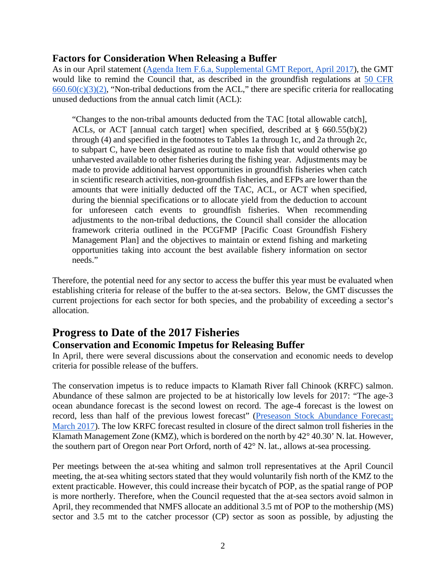#### **Factors for Consideration When Releasing a Buffer**

As in our April statement [\(Agenda Item F.6.a, Supplemental GMT Report, April 2017\)](http://www.pcouncil.org/wp-content/uploads/2017/04/F6a_Sup_GMT_Rpt_Apr2017BB.pdf), the GMT would like to remind the Council that, as described in the groundfish regulations at [50 CFR](https://www.ecfr.gov/cgi-bin/retrieveECFR?gp=&SID=b829513a191c4c94735598faeb9f95f4&mc=true&n=pt50.13.660&r=PART&ty=HTML#se50.13.660_155)   $660.60(c)(3)(2)$ , "Non-tribal deductions from the ACL," there are specific criteria for reallocating unused deductions from the annual catch limit (ACL):

"Changes to the non-tribal amounts deducted from the TAC [total allowable catch], ACLs, or ACT [annual catch target] when specified, described at § 660.55(b)(2) through (4) and specified in the footnotes to Tables 1a through 1c, and 2a through 2c, to subpart C, have been designated as routine to make fish that would otherwise go unharvested available to other fisheries during the fishing year. Adjustments may be made to provide additional harvest opportunities in groundfish fisheries when catch in scientific research activities, non-groundfish fisheries, and EFPs are lower than the amounts that were initially deducted off the TAC, ACL, or ACT when specified, during the biennial specifications or to allocate yield from the deduction to account for unforeseen catch events to groundfish fisheries. When recommending adjustments to the non-tribal deductions, the Council shall consider the allocation framework criteria outlined in the PCGFMP [Pacific Coast Groundfish Fishery Management Plan] and the objectives to maintain or extend fishing and marketing opportunities taking into account the best available fishery information on sector needs."

Therefore, the potential need for any sector to access the buffer this year must be evaluated when establishing criteria for release of the buffer to the at-sea sectors. Below, the GMT discusses the current projections for each sector for both species, and the probability of exceeding a sector's allocation.

# **Progress to Date of the 2017 Fisheries**

#### **Conservation and Economic Impetus for Releasing Buffer**

In April, there were several discussions about the conservation and economic needs to develop criteria for possible release of the buffers.

The conservation impetus is to reduce impacts to Klamath River fall Chinook (KRFC) salmon. Abundance of these salmon are projected to be at historically low levels for 2017: "The age-3 ocean abundance forecast is the second lowest on record. The age-4 forecast is the lowest on record, less than half of the previous lowest forecast" (Preseason Stock Abundance Forecast; [March 2017\)](http://www.pcouncil.org/wp-content/uploads/2017/03/2017_Preseason_Report_I_03MAR17_final2.pdf). The low KRFC forecast resulted in closure of the direct salmon troll fisheries in the Klamath Management Zone (KMZ), which is bordered on the north by 42° 40.30' N. lat. However, the southern part of Oregon near Port Orford, north of 42° N. lat., allows at-sea processing.

Per meetings between the at-sea whiting and salmon troll representatives at the April Council meeting, the at-sea whiting sectors stated that they would voluntarily fish north of the KMZ to the extent practicable. However, this could increase their bycatch of POP, as the spatial range of POP is more northerly. Therefore, when the Council requested that the at-sea sectors avoid salmon in April, they recommended that NMFS allocate an additional 3.5 mt of POP to the mothership (MS) sector and 3.5 mt to the catcher processor (CP) sector as soon as possible, by adjusting the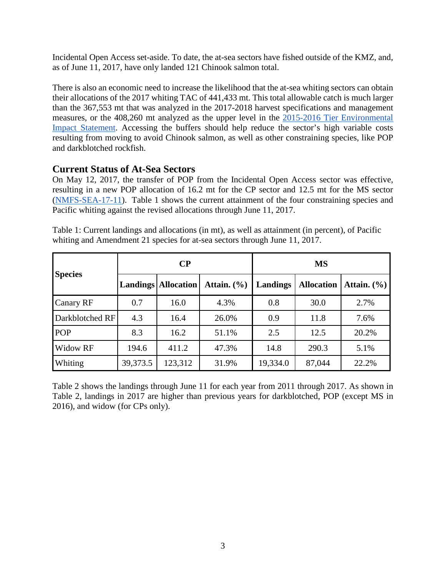Incidental Open Access set-aside. To date, the at-sea sectors have fished outside of the KMZ, and, as of June 11, 2017, have only landed 121 Chinook salmon total.

There is also an economic need to increase the likelihood that the at-sea whiting sectors can obtain their allocations of the 2017 whiting TAC of 441,433 mt. This total allowable catch is much larger than the 367,553 mt that was analyzed in the 2017-2018 harvest specifications and management measures, or the 408,260 mt analyzed as the upper level in the [2015-2016 Tier Environmental](http://www.pcouncil.org/wp-content/uploads/GF15_16_SpexFEISJanuary2015.pdf)  [Impact Statement.](http://www.pcouncil.org/wp-content/uploads/GF15_16_SpexFEISJanuary2015.pdf) Accessing the buffers should help reduce the sector's high variable costs resulting from moving to avoid Chinook salmon, as well as other constraining species, like POP and darkblotched rockfish.

### **Current Status of At-Sea Sectors**

On May 12, 2017, the transfer of POP from the Incidental Open Access sector was effective, resulting in a new POP allocation of 16.2 mt for the CP sector and 12.5 mt for the MS sector [\(NMFS-SEA-17-11\)](http://www.westcoast.fisheries.noaa.gov/publications/fishery_management/groundfish/public_notices/nmfs-sea-17-11.pdf). [Table 1](#page-2-0) shows the current attainment of the four constraining species and Pacific whiting against the revised allocations through June 11, 2017.

|                 |          | $\bf CP$                        |                 | <b>MS</b> |                   |                 |  |
|-----------------|----------|---------------------------------|-----------------|-----------|-------------------|-----------------|--|
| <b>Species</b>  |          | <b>Landings   Allocation   </b> | Attain. $(\% )$ | Landings  | <b>Allocation</b> | Attain. $(\% )$ |  |
| Canary RF       | 0.7      | 16.0                            | 4.3%            | 0.8       | 30.0              | 2.7%            |  |
| Darkblotched RF | 4.3      | 16.4                            | 26.0%           | 0.9       | 11.8              | 7.6%            |  |
| <b>POP</b>      | 8.3      | 16.2                            | 51.1%           | 2.5       | 12.5              | 20.2%           |  |
| Widow RF        | 194.6    | 411.2                           | 47.3%           | 14.8      | 290.3             | 5.1%            |  |
| Whiting         | 39,373.5 | 123,312                         | 31.9%           | 19,334.0  | 87,044            | 22.2%           |  |

<span id="page-2-0"></span>Table 1: Current landings and allocations (in mt), as well as attainment (in percent), of Pacific whiting and Amendment 21 species for at-sea sectors through June 11, 2017.

[Table 2](#page-3-0) shows the landings through June 11 for each year from 2011 through 2017. As shown in [Table 2,](#page-3-0) landings in 2017 are higher than previous years for darkblotched, POP (except MS in 2016), and widow (for CPs only).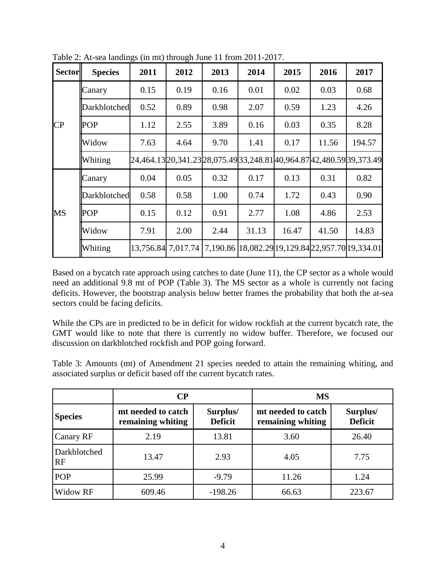| <b>Sector</b>   | <b>Species</b>      | 2011 | 2012               | 2013 | 2014                                                                        | 2015  | 2016  | 2017   |
|-----------------|---------------------|------|--------------------|------|-----------------------------------------------------------------------------|-------|-------|--------|
|                 | Canary              | 0.15 | 0.19               | 0.16 | 0.01                                                                        | 0.02  | 0.03  | 0.68   |
|                 | <b>Darkblotched</b> | 0.52 | 0.89               | 0.98 | 2.07                                                                        | 0.59  | 1.23  | 4.26   |
| $\overline{CP}$ | <b>POP</b>          | 1.12 | 2.55               | 3.89 | 0.16                                                                        | 0.03  | 0.35  | 8.28   |
|                 | Widow               | 7.63 | 4.64               | 9.70 | 1.41                                                                        | 0.17  | 11.56 | 194.57 |
|                 | Whiting             |      |                    |      | 24,464.13  20,341.23  28,075.49  33,248.81  40,964.87  42,480.59  39,373.49 |       |       |        |
|                 | Canary              | 0.04 | 0.05               | 0.32 | 0.17                                                                        | 0.13  | 0.31  | 0.82   |
|                 | <b>Darkblotched</b> | 0.58 | 0.58               | 1.00 | 0.74                                                                        | 1.72  | 0.43  | 0.90   |
| MS              | <b>POP</b>          | 0.15 | 0.12               | 0.91 | 2.77                                                                        | 1.08  | 4.86  | 2.53   |
|                 | Widow               | 7.91 | 2.00               | 2.44 | 31.13                                                                       | 16.47 | 41.50 | 14.83  |
|                 | Whiting             |      | 13,756.84 7,017.74 |      | 7,190.86 18,082.29 19,129.84 22,957.70 19,334.01                            |       |       |        |

<span id="page-3-0"></span>Table 2: At-sea landings (in mt) through June 11 from 2011-2017.

Based on a bycatch rate approach using catches to date (June 11), the CP sector as a whole would need an additional 9.8 mt of POP [\(Table 3\)](#page-3-1). The MS sector as a whole is currently not facing deficits. However, the bootstrap analysis below better frames the probability that both the at-sea sectors could be facing deficits.

While the CPs are in predicted to be in deficit for widow rockfish at the current bycatch rate, the GMT would like to note that there is currently no widow buffer. Therefore, we focused our discussion on darkblotched rockfish and POP going forward.

<span id="page-3-1"></span>Table 3: Amounts (mt) of Amendment 21 species needed to attain the remaining whiting, and associated surplus or deficit based off the current bycatch rates.

|                    | $\bf CP$                                                              |           | <b>MS</b>                               |                            |  |  |
|--------------------|-----------------------------------------------------------------------|-----------|-----------------------------------------|----------------------------|--|--|
| <b>Species</b>     | mt needed to catch<br>Surplus/<br><b>Deficit</b><br>remaining whiting |           | mt needed to catch<br>remaining whiting | Surplus/<br><b>Deficit</b> |  |  |
| Canary RF          | 2.19                                                                  | 13.81     | 3.60                                    | 26.40                      |  |  |
| Darkblotched<br>RF | 13.47                                                                 | 2.93      | 4.05                                    | 7.75                       |  |  |
| <b>POP</b>         | 25.99                                                                 | $-9.79$   | 11.26                                   | 1.24                       |  |  |
| Widow RF           | 609.46                                                                | $-198.26$ | 66.63                                   | 223.67                     |  |  |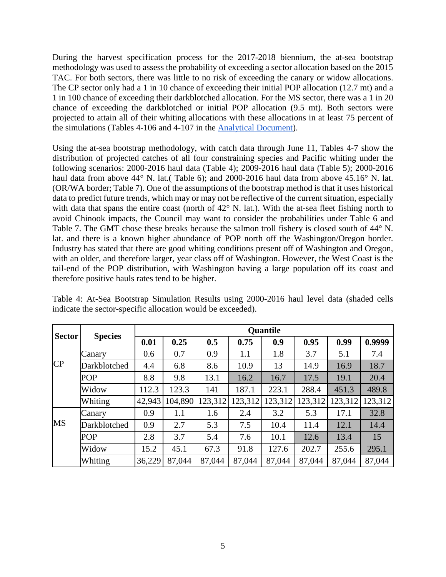During the harvest specification process for the 2017-2018 biennium, the at-sea bootstrap methodology was used to assess the probability of exceeding a sector allocation based on the 2015 TAC. For both sectors, there was little to no risk of exceeding the canary or widow allocations. The CP sector only had a 1 in 10 chance of exceeding their initial POP allocation (12.7 mt) and a 1 in 100 chance of exceeding their darkblotched allocation. For the MS sector, there was a 1 in 20 chance of exceeding the darkblotched or initial POP allocation (9.5 mt). Both sectors were projected to attain all of their whiting allocations with these allocations in at least 75 percent of the simulations (Tables 4-106 and 4-107 in the [Analytical Document\)](http://www.pcouncil.org/wp-content/uploads/2016/09/17-18_Analytical_Document_Revised_Sept2016.pdf).

Using the at-sea bootstrap methodology, with catch data through June 11, Tables 4-7 show the distribution of projected catches of all four constraining species and Pacific whiting under the following scenarios: 2000-2016 haul data [\(Table 4\)](#page-4-0); 2009-2016 haul data [\(Table 5\)](#page-5-0); 2000-2016 haul data from above 44° N. lat.( [Table 6\)](#page-5-1); and 2000-2016 haul data from above 45.16° N. lat. (OR/WA border; [Table 7\)](#page-6-0). One of the assumptions of the bootstrap method is that it uses historical data to predict future trends, which may or may not be reflective of the current situation, especially with data that spans the entire coast (north of 42° N. lat.). With the at-sea fleet fishing north to avoid Chinook impacts, the Council may want to consider the probabilities under [Table 6](#page-5-1) and [Table](#page-6-0) 7. The GMT chose these breaks because the salmon troll fishery is closed south of 44° N. lat. and there is a known higher abundance of POP north off the Washington/Oregon border. Industry has stated that there are good whiting conditions present off of Washington and Oregon, with an older, and therefore larger, year class off of Washington. However, the West Coast is the tail-end of the POP distribution, with Washington having a large population off its coast and therefore positive hauls rates tend to be higher.

|                 |                | <b>Quantile</b> |         |         |         |         |         |         |         |  |
|-----------------|----------------|-----------------|---------|---------|---------|---------|---------|---------|---------|--|
| <b>Sector</b>   | <b>Species</b> | 0.01            | 0.25    | 0.5     | 0.75    | 0.9     | 0.95    | 0.99    | 0.9999  |  |
|                 | Canary         | 0.6             | 0.7     | 0.9     | 1.1     | 1.8     | 3.7     | 5.1     | 7.4     |  |
| $\overline{CP}$ | Darkblotched   | 4.4             | 6.8     | 8.6     | 10.9    | 13      | 14.9    | 16.9    | 18.7    |  |
|                 | <b>POP</b>     | 8.8             | 9.8     | 13.1    | 16.2    | 16.7    | 17.5    | 19.1    | 20.4    |  |
|                 | Widow          | 112.3           | 123.3   | 141     | 187.1   | 223.1   | 288.4   | 451.3   | 489.8   |  |
|                 | Whiting        | 42,943          | 104,890 | 123,312 | 123,312 | 123,312 | 123,312 | 123,312 | 123,312 |  |
|                 | Canary         | 0.9             | 1.1     | 1.6     | 2.4     | 3.2     | 5.3     | 17.1    | 32.8    |  |
| MS              | Darkblotched   | 0.9             | 2.7     | 5.3     | 7.5     | 10.4    | 11.4    | 12.1    | 14.4    |  |
|                 | <b>POP</b>     | 2.8             | 3.7     | 5.4     | 7.6     | 10.1    | 12.6    | 13.4    | 15      |  |
|                 | Widow          | 15.2            | 45.1    | 67.3    | 91.8    | 127.6   | 202.7   | 255.6   | 295.1   |  |
|                 | Whiting        | 36,229          | 87,044  | 87,044  | 87,044  | 87,044  | 87,044  | 87,044  | 87,044  |  |

<span id="page-4-0"></span>Table 4: At-Sea Bootstrap Simulation Results using 2000-2016 haul level data (shaded cells indicate the sector-specific allocation would be exceeded).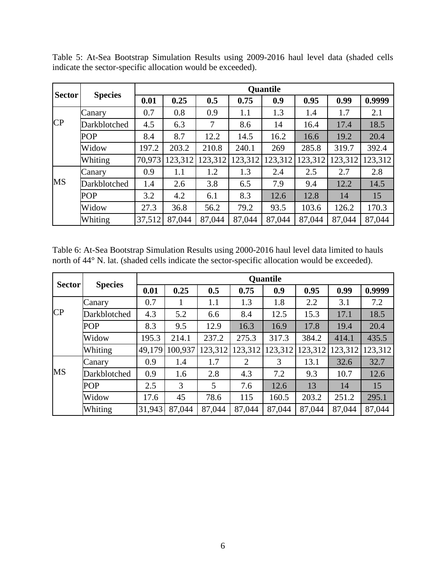| <b>Sector</b> |                | <b>Quantile</b> |         |         |         |         |         |         |         |  |
|---------------|----------------|-----------------|---------|---------|---------|---------|---------|---------|---------|--|
|               | <b>Species</b> | 0.01            | 0.25    | 0.5     | 0.75    | 0.9     | 0.95    | 0.99    | 0.9999  |  |
|               | Canary         | 0.7             | 0.8     | 0.9     | 1.1     | 1.3     | 1.4     | 1.7     | 2.1     |  |
| CP            | Darkblotched   | 4.5             | 6.3     | $\tau$  | 8.6     | 14      | 16.4    | 17.4    | 18.5    |  |
|               | <b>POP</b>     | 8.4             | 8.7     | 12.2    | 14.5    | 16.2    | 16.6    | 19.2    | 20.4    |  |
|               | Widow          | 197.2           | 203.2   | 210.8   | 240.1   | 269     | 285.8   | 319.7   | 392.4   |  |
|               | Whiting        | 70,973          | 123,312 | 123,312 | 123,312 | 123,312 | 123,312 | 123,312 | 123,312 |  |
|               | Canary         | 0.9             | 1.1     | 1.2     | 1.3     | 2.4     | 2.5     | 2.7     | 2.8     |  |
| <b>MS</b>     | Darkblotched   | 1.4             | 2.6     | 3.8     | 6.5     | 7.9     | 9.4     | 12.2    | 14.5    |  |
|               | <b>POP</b>     | 3.2             | 4.2     | 6.1     | 8.3     | 12.6    | 12.8    | 14      | 15      |  |
|               | Widow          | 27.3            | 36.8    | 56.2    | 79.2    | 93.5    | 103.6   | 126.2   | 170.3   |  |
|               | Whiting        | 37,512          | 87,044  | 87,044  | 87,044  | 87,044  | 87,044  | 87,044  | 87,044  |  |

<span id="page-5-0"></span>Table 5: At-Sea Bootstrap Simulation Results using 2009-2016 haul level data (shaded cells indicate the sector-specific allocation would be exceeded).

<span id="page-5-1"></span>Table 6: At-Sea Bootstrap Simulation Results using 2000-2016 haul level data limited to hauls north of 44° N. lat. (shaded cells indicate the sector-specific allocation would be exceeded).

| <b>Sector</b> |                | <b>Quantile</b> |         |         |                |         |         |         |         |  |
|---------------|----------------|-----------------|---------|---------|----------------|---------|---------|---------|---------|--|
|               | <b>Species</b> | 0.01            | 0.25    | 0.5     | 0.75           | 0.9     | 0.95    | 0.99    | 0.9999  |  |
|               | Canary         | 0.7             |         | 1.1     | 1.3            | 1.8     | 2.2     | 3.1     | 7.2     |  |
| CP            | Darkblotched   | 4.3             | 5.2     | 6.6     | 8.4            | 12.5    | 15.3    | 17.1    | 18.5    |  |
|               | <b>POP</b>     | 8.3             | 9.5     | 12.9    | 16.3           | 16.9    | 17.8    | 19.4    | 20.4    |  |
|               | Widow          | 195.3           | 214.1   | 237.2   | 275.3          | 317.3   | 384.2   | 414.1   | 435.5   |  |
|               | Whiting        | 49,179          | 100,937 | 123,312 | 123,312        | 123,312 | 123,312 | 123,312 | 123,312 |  |
|               | Canary         | 0.9             | 1.4     | 1.7     | $\overline{2}$ | 3       | 13.1    | 32.6    | 32.7    |  |
| <b>MS</b>     | Darkblotched   | 0.9             | 1.6     | 2.8     | 4.3            | 7.2     | 9.3     | 10.7    | 12.6    |  |
|               | <b>POP</b>     | 2.5             | 3       | 5       | 7.6            | 12.6    | 13      | 14      | 15      |  |
|               | Widow          | 17.6            | 45      | 78.6    | 115            | 160.5   | 203.2   | 251.2   | 295.1   |  |
|               | Whiting        | 31,943          | 87,044  | 87,044  | 87,044         | 87,044  | 87,044  | 87,044  | 87,044  |  |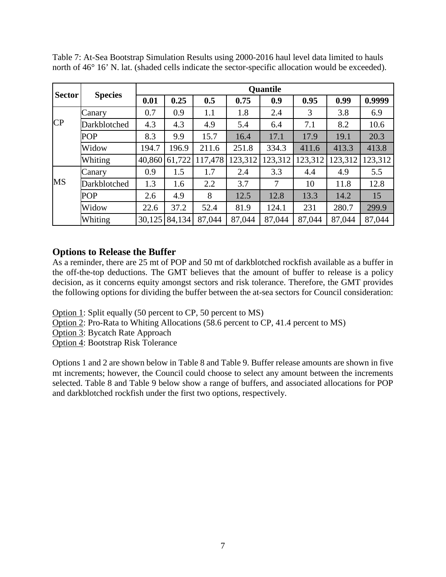| <b>Sector</b> |                | <b>Quantile</b> |        |         |         |         |         |         |         |  |
|---------------|----------------|-----------------|--------|---------|---------|---------|---------|---------|---------|--|
|               | <b>Species</b> | 0.01            | 0.25   | 0.5     | 0.75    | 0.9     | 0.95    | 0.99    | 0.9999  |  |
|               | Canary         | 0.7             | 0.9    | 1.1     | 1.8     | 2.4     | 3       | 3.8     | 6.9     |  |
| CP            | Darkblotched   | 4.3             | 4.3    | 4.9     | 5.4     | 6.4     | 7.1     | 8.2     | 10.6    |  |
|               | <b>POP</b>     | 8.3             | 9.9    | 15.7    | 16.4    | 17.1    | 17.9    | 19.1    | 20.3    |  |
|               | Widow          | 194.7           | 196.9  | 211.6   | 251.8   | 334.3   | 411.6   | 413.3   | 413.8   |  |
|               | Whiting        | 40,860          | 61,722 | 117,478 | 123,312 | 123,312 | 123,312 | 123,312 | 123,312 |  |
|               | Canary         | 0.9             | 1.5    | 1.7     | 2.4     | 3.3     | 4.4     | 4.9     | 5.5     |  |
| <b>MS</b>     | Darkblotched   | 1.3             | 1.6    | 2.2     | 3.7     | 7       | 10      | 11.8    | 12.8    |  |
|               | <b>POP</b>     | 2.6             | 4.9    | 8       | 12.5    | 12.8    | 13.3    | 14.2    | 15      |  |
|               | Widow          | 22.6            | 37.2   | 52.4    | 81.9    | 124.1   | 231     | 280.7   | 299.9   |  |
|               | Whiting        | 30,125          | 84,134 | 87,044  | 87,044  | 87,044  | 87,044  | 87,044  | 87,044  |  |

<span id="page-6-0"></span>Table 7: At-Sea Bootstrap Simulation Results using 2000-2016 haul level data limited to hauls north of 46° 16' N. lat. (shaded cells indicate the sector-specific allocation would be exceeded).

#### **Options to Release the Buffer**

As a reminder, there are 25 mt of POP and 50 mt of darkblotched rockfish available as a buffer in the off-the-top deductions. The GMT believes that the amount of buffer to release is a policy decision, as it concerns equity amongst sectors and risk tolerance. Therefore, the GMT provides the following options for dividing the buffer between the at-sea sectors for Council consideration:

Option 1: Split equally (50 percent to CP, 50 percent to MS)

Option 2: Pro-Rata to Whiting Allocations (58.6 percent to CP, 41.4 percent to MS)

Option 3: Bycatch Rate Approach

Option 4: Bootstrap Risk Tolerance

Options 1 and 2 are shown below in Table 8 and Table 9. Buffer release amounts are shown in five mt increments; however, the Council could choose to select any amount between the increments selected. [Table 8](#page-7-0) and [Table 9](#page-7-1) below show a range of buffers, and associated allocations for POP and darkblotched rockfish under the first two options, respectively.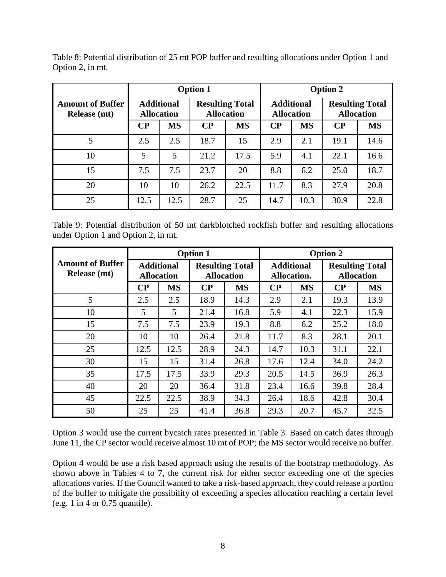<span id="page-7-0"></span>Table 8: Potential distribution of 25 mt POP buffer and resulting allocations under Option 1 and Option 2, in mt.

|                                                |          |                                        | <b>Option 1</b> |                                             | <b>Option 2</b> |                                        |          |                                             |  |
|------------------------------------------------|----------|----------------------------------------|-----------------|---------------------------------------------|-----------------|----------------------------------------|----------|---------------------------------------------|--|
| <b>Amount of Buffer</b><br><b>Release</b> (mt) |          | <b>Additional</b><br><b>Allocation</b> |                 | <b>Resulting Total</b><br><b>Allocation</b> |                 | <b>Additional</b><br><b>Allocation</b> |          | <b>Resulting Total</b><br><b>Allocation</b> |  |
|                                                | $\bf CP$ | <b>MS</b>                              | $\bf CP$        | <b>MS</b>                                   | $\bf CP$        | <b>MS</b>                              | $\bf CP$ | <b>MS</b>                                   |  |
| 5                                              | 2.5      | 2.5                                    | 18.7            | 15                                          | 2.9             | 2.1                                    | 19.1     | 14.6                                        |  |
| 10                                             | 5        | 5                                      | 21.2            | 17.5                                        | 5.9             | 4.1                                    | 22.1     | 16.6                                        |  |
| 15                                             | 7.5      | 7.5                                    | 23.7            | 20                                          | 8.8             | 6.2                                    | 25.0     | 18.7                                        |  |
| 20                                             | 10       | 10                                     | 26.2            | 22.5                                        | 11.7            | 8.3                                    | 27.9     | 20.8                                        |  |
| 25                                             | 12.5     | 12.5                                   | 28.7            | 25                                          | 14.7            | 10.3                                   | 30.9     | 22.8                                        |  |

<span id="page-7-1"></span>Table 9: Potential distribution of 50 mt darkblotched rockfish buffer and resulting allocations under Option 1 and Option 2, in mt.

|                                                |                                        |                | <b>Option 1</b>                             |           | <b>Option 2</b>                  |           |                                             |           |
|------------------------------------------------|----------------------------------------|----------------|---------------------------------------------|-----------|----------------------------------|-----------|---------------------------------------------|-----------|
| <b>Amount of Buffer</b><br><b>Release</b> (mt) | <b>Additional</b><br><b>Allocation</b> |                | <b>Resulting Total</b><br><b>Allocation</b> |           | <b>Additional</b><br>Allocation. |           | <b>Resulting Total</b><br><b>Allocation</b> |           |
|                                                | $\bf CP$                               | <b>MS</b>      | $\bf CP$                                    | <b>MS</b> | $\bf CP$                         | <b>MS</b> | $\bf CP$                                    | <b>MS</b> |
| 5                                              | 2.5                                    | 2.5            | 18.9                                        | 14.3      | 2.9                              | 2.1       | 19.3                                        | 13.9      |
| 10                                             | 5                                      | $\mathfrak{S}$ | 21.4                                        | 16.8      | 5.9                              | 4.1       | 22.3                                        | 15.9      |
| 15                                             | 7.5                                    | 7.5            | 23.9                                        | 19.3      | 8.8                              | 6.2       | 25.2                                        | 18.0      |
| 20                                             | 10                                     | 10             | 26.4                                        | 21.8      | 11.7                             | 8.3       | 28.1                                        | 20.1      |
| 25                                             | 12.5                                   | 12.5           | 28.9                                        | 24.3      | 14.7                             | 10.3      | 31.1                                        | 22.1      |
| 30                                             | 15                                     | 15             | 31.4                                        | 26.8      | 17.6                             | 12.4      | 34.0                                        | 24.2      |
| 35                                             | 17.5                                   | 17.5           | 33.9                                        | 29.3      | 20.5                             | 14.5      | 36.9                                        | 26.3      |
| 40                                             | 20                                     | 20             | 36.4                                        | 31.8      | 23.4                             | 16.6      | 39.8                                        | 28.4      |
| 45                                             | 22.5                                   | 22.5           | 38.9                                        | 34.3      | 26.4                             | 18.6      | 42.8                                        | 30.4      |
| 50                                             | 25                                     | 25             | 41.4                                        | 36.8      | 29.3                             | 20.7      | 45.7                                        | 32.5      |

Option 3 would use the current bycatch rates presented in [Table 3.](#page-3-1) Based on catch dates through June 11, the CP sector would receive almost 10 mt of POP; the MS sector would receive no buffer.

Option 4 would be use a risk based approach using the results of the bootstrap methodology. As shown above in Tables 4 to 7, the current risk for either sector exceeding one of the species allocations varies. If the Council wanted to take a risk-based approach, they could release a portion of the buffer to mitigate the possibility of exceeding a species allocation reaching a certain level (e.g. 1 in 4 or 0.75 quantile).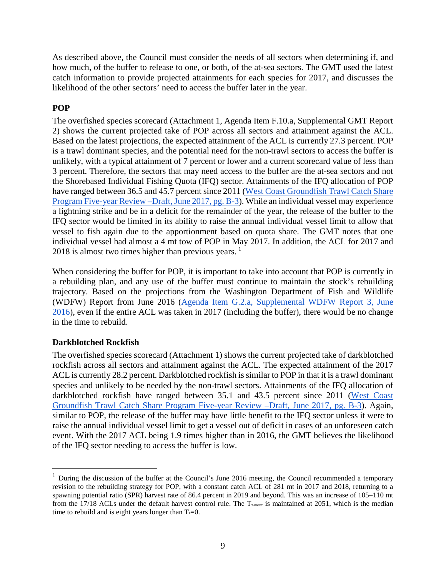As described above, the Council must consider the needs of all sectors when determining if, and how much, of the buffer to release to one, or both, of the at-sea sectors. The GMT used the latest catch information to provide projected attainments for each species for 2017, and discusses the likelihood of the other sectors' need to access the buffer later in the year.

### **POP**

The overfished species scorecard (Attachment 1, Agenda Item F.10.a, Supplemental GMT Report 2) shows the current projected take of POP across all sectors and attainment against the ACL. Based on the latest projections, the expected attainment of the ACL is currently 27.3 percent. POP is a trawl dominant species, and the potential need for the non-trawl sectors to access the buffer is unlikely, with a typical attainment of 7 percent or lower and a current scorecard value of less than 3 percent. Therefore, the sectors that may need access to the buffer are the at-sea sectors and not the Shorebased Individual Fishing Quota (IFQ) sector. Attainments of the IFQ allocation of POP have ranged between 36.5 and 45.7 percent since 2011 (West Coast Groundfish Trawl Catch Share [Program Five-year Review –Draft, June 2017, pg. B-3\)](http://www.pcouncil.org/wp-content/uploads/2017/05/F2a_CatchShareAnalystsReport_FullReport_ElectricOnly_Jun2017BB.pdf). While an individual vessel may experience a lightning strike and be in a deficit for the remainder of the year, the release of the buffer to the IFQ sector would be limited in its ability to raise the annual individual vessel limit to allow that vessel to fish again due to the apportionment based on quota share. The GMT notes that one individual vessel had almost a 4 mt tow of POP in May 2017. In addition, the ACL for 2017 and  $2018$  $2018$  $2018$  is almost two times higher than previous years.<sup>1</sup>

When considering the buffer for POP, it is important to take into account that POP is currently in a rebuilding plan, and any use of the buffer must continue to maintain the stock's rebuilding trajectory. Based on the projections from the Washington Department of Fish and Wildlife (WDFW) Report from June 2016 (Agenda Item G.2.a, [Supplemental WDFW Report 3, June](http://www.pcouncil.org/wp-content/uploads/2016/06/G2a_Sup_WDFW_Rpt3_JUN2016BB.pdf)  [2016\)](http://www.pcouncil.org/wp-content/uploads/2016/06/G2a_Sup_WDFW_Rpt3_JUN2016BB.pdf), even if the entire ACL was taken in 2017 (including the buffer), there would be no change in the time to rebuild.

#### **Darkblotched Rockfish**

The overfished species scorecard (Attachment 1) shows the current projected take of darkblotched rockfish across all sectors and attainment against the ACL. The expected attainment of the 2017 ACL is currently 28.2 percent. Darkblotched rockfish is similar to POP in that it is a trawl dominant species and unlikely to be needed by the non-trawl sectors. Attainments of the IFQ allocation of darkblotched rockfish have ranged between 35.1 and 43.5 percent since 2011 [\(West Coast](http://www.pcouncil.org/wp-content/uploads/2017/05/F2a_CatchShareAnalystsReport_FullReport_ElectricOnly_Jun2017BB.pdf)  [Groundfish Trawl Catch Share Program Five-year Review –Draft, June 2017, pg. B-3\)](http://www.pcouncil.org/wp-content/uploads/2017/05/F2a_CatchShareAnalystsReport_FullReport_ElectricOnly_Jun2017BB.pdf). Again, similar to POP, the release of the buffer may have little benefit to the IFQ sector unless it were to raise the annual individual vessel limit to get a vessel out of deficit in cases of an unforeseen catch event. With the 2017 ACL being 1.9 times higher than in 2016, the GMT believes the likelihood of the IFQ sector needing to access the buffer is low.

<span id="page-8-0"></span><sup>&</sup>lt;sup>1</sup> During the discussion of the buffer at the Council's June 2016 meeting, the Council recommended a temporary revision to the rebuilding strategy for POP, with a constant catch ACL of 281 mt in 2017 and 2018, returning to a spawning potential ratio (SPR) harvest rate of 86.4 percent in 2019 and beyond. This was an increase of 105–110 mt from the 17/18 ACLs under the default harvest control rule. The  $T_{\text{TAKGET}}}$  is maintained at 2051, which is the median time to rebuild and is eight years longer than  $T_F=0$ .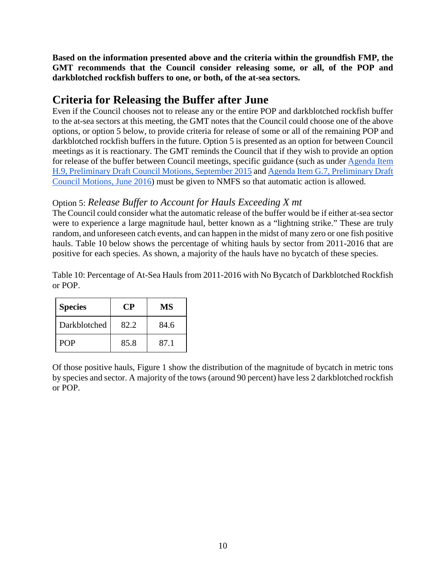**Based on the information presented above and the criteria within the groundfish FMP, the GMT recommends that the Council consider releasing some, or all, of the POP and darkblotched rockfish buffers to one, or both, of the at-sea sectors.**

# **Criteria for Releasing the Buffer after June**

Even if the Council chooses not to release any or the entire POP and darkblotched rockfish buffer to the at-sea sectors at this meeting, the GMT notes that the Council could choose one of the above options, or option 5 below, to provide criteria for release of some or all of the remaining POP and darkblotched rockfish buffers in the future. Option 5 is presented as an option for between Council meetings as it is reactionary. The GMT reminds the Council that if they wish to provide an option for release of the buffer between Council meetings, specific guidance (such as under [Agenda Item](http://www.pcouncil.org/wp-content/uploads/2015/09/H9_CouncilAction_Sept2015.pdf)  [H.9, Preliminary Draft Council Motions, September 2015](http://www.pcouncil.org/wp-content/uploads/2015/09/H9_CouncilAction_Sept2015.pdf) and [Agenda Item G.7, Preliminary Draft](http://www.pcouncil.org/wp-content/uploads/2016/06/G7_CouncilAction_JUN2016.pdf)  [Council Motions, June 2016\)](http://www.pcouncil.org/wp-content/uploads/2016/06/G7_CouncilAction_JUN2016.pdf) must be given to NMFS so that automatic action is allowed.

### Option 5: *Release Buffer to Account for Hauls Exceeding X mt*

The Council could consider what the automatic release of the buffer would be if either at-sea sector were to experience a large magnitude haul, better known as a "lightning strike." These are truly random, and unforeseen catch events, and can happen in the midst of many zero or one fish positive hauls. [Table 10](#page-9-0) below shows the percentage of whiting hauls by sector from 2011-2016 that are positive for each species. As shown, a majority of the hauls have no bycatch of these species.

<span id="page-9-0"></span>Table 10: Percentage of At-Sea Hauls from 2011-2016 with No Bycatch of Darkblotched Rockfish or POP.

| <b>Species</b> | +∶P⊹ | MS   |
|----------------|------|------|
| Darkblotched   | 82.2 | 84.6 |
| <b>POP</b>     | 85.8 | 87.1 |

Of those positive hauls, [Figure 1](#page-10-0) show the distribution of the magnitude of bycatch in metric tons by species and sector. A majority of the tows (around 90 percent) have less 2 darkblotched rockfish or POP.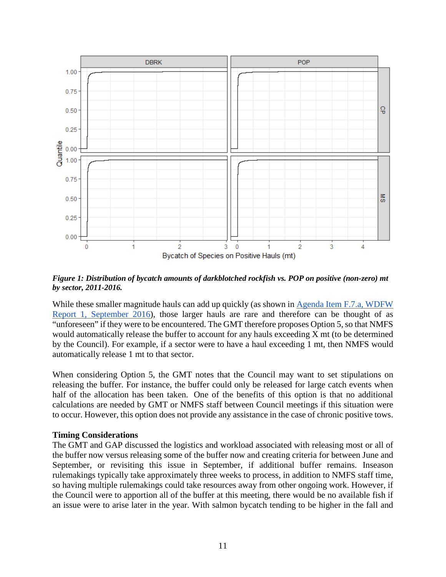

<span id="page-10-0"></span>*Figure 1: Distribution of bycatch amounts of darkblotched rockfish vs. POP on positive (non-zero) mt by sector, 2011-2016.*

While these smaller magnitude hauls can add up quickly (as shown in Agenda Item F.7.a, WDFW [Report 1, September 2016\)](http://www.pcouncil.org/wp-content/uploads/2016/08/F7a_WDFW_Report_SEPT2016BB.pdf), those larger hauls are rare and therefore can be thought of as "unforeseen" if they were to be encountered. The GMT therefore proposes Option 5, so that NMFS would automatically release the buffer to account for any hauls exceeding X mt (to be determined by the Council). For example, if a sector were to have a haul exceeding 1 mt, then NMFS would automatically release 1 mt to that sector.

When considering Option 5, the GMT notes that the Council may want to set stipulations on releasing the buffer. For instance, the buffer could only be released for large catch events when half of the allocation has been taken. One of the benefits of this option is that no additional calculations are needed by GMT or NMFS staff between Council meetings if this situation were to occur. However, this option does not provide any assistance in the case of chronic positive tows.

#### **Timing Considerations**

The GMT and GAP discussed the logistics and workload associated with releasing most or all of the buffer now versus releasing some of the buffer now and creating criteria for between June and September, or revisiting this issue in September, if additional buffer remains. Inseason rulemakings typically take approximately three weeks to process, in addition to NMFS staff time, so having multiple rulemakings could take resources away from other ongoing work. However, if the Council were to apportion all of the buffer at this meeting, there would be no available fish if an issue were to arise later in the year. With salmon bycatch tending to be higher in the fall and